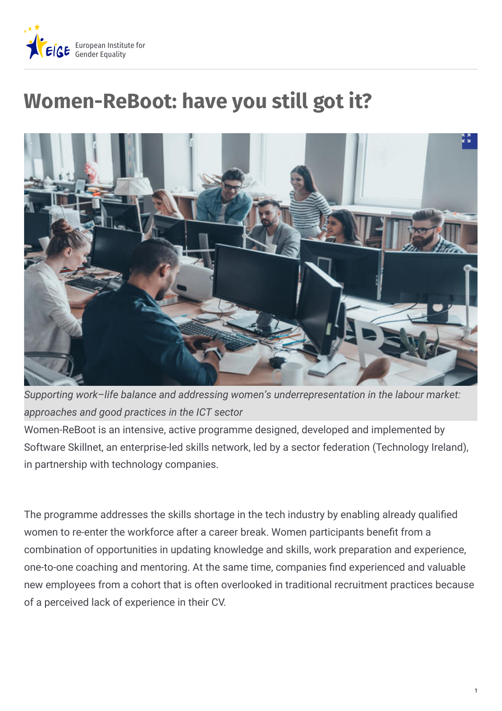

# **Women-ReBoot: have you still got it?**



*Supporting work–life balance and addressing women's underrepresentation in the labour market: approaches and good practices in the ICT sector*

Women-ReBoot is an intensive, active programme designed, developed and implemented by Software Skillnet, an enterprise-led skills network, led by a sector federation (Technology Ireland), in partnership with technology companies.

The programme addresses the skills shortage in the tech industry by enabling already qualified women to re-enter the workforce after a career break. Women participants benefit from a combination of opportunities in updating knowledge and skills, work preparation and experience, one-to-one coaching and mentoring. At the same time, companies find experienced and valuable new employees from a cohort that is often overlooked in traditional recruitment practices because of a perceived lack of experience in their CV.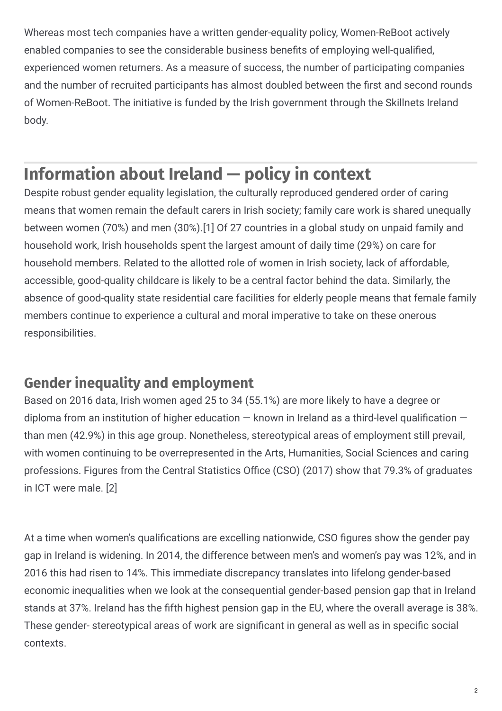Whereas most tech companies have a written gender-equality policy, Women-ReBoot actively enabled companies to see the considerable business benefits of employing well-qualified, experienced women returners. As a measure of success, the number of participating companies and the number of recruited participants has almost doubled between the first and second rounds of Women-ReBoot. The initiative is funded by the Irish government through the Skillnets Ireland body.

## **Information about Ireland — policy in context**

Despite robust gender equality legislation, the culturally reproduced gendered order of caring means that women remain the default carers in Irish society; family care work is shared unequally between women (70%) and men (30%).[1] Of 27 countries in a global study on unpaid family and household work, Irish households spent the largest amount of daily time (29%) on care for household members. Related to the allotted role of women in Irish society, lack of affordable, accessible, good-quality childcare is likely to be a central factor behind the data. Similarly, the absence of good-quality state residential care facilities for elderly people means that female family members continue to experience a cultural and moral imperative to take on these onerous responsibilities.

### **Gender inequality and employment**

Based on 2016 data, Irish women aged 25 to 34 (55.1%) are more likely to have a degree or diploma from an institution of higher education  $-$  known in Ireland as a third-level qualification  $$ than men (42.9%) in this age group. Nonetheless, stereotypical areas of employment still prevail, with women continuing to be overrepresented in the Arts, Humanities, Social Sciences and caring professions. Figures from the Central Statistics Office (CSO) (2017) show that 79.3% of graduates in ICT were male. [2]

At a time when women's qualifications are excelling nationwide, CSO figures show the gender pay gap in Ireland is widening. In 2014, the difference between men's and women's pay was 12%, and in 2016 this had risen to 14%. This immediate discrepancy translates into lifelong gender-based economic inequalities when we look at the consequential gender-based pension gap that in Ireland stands at 37%. Ireland has the fifth highest pension gap in the EU, where the overall average is 38%. These gender- stereotypical areas of work are significant in general as well as in specific social contexts.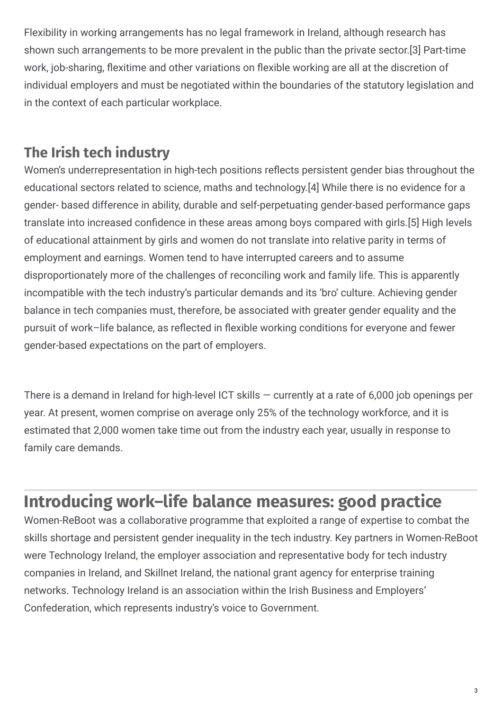Flexibility in working arrangements has no legal framework in Ireland, although research has shown such arrangements to be more prevalent in the public than the private sector.[3] Part-time work, job-sharing, flexitime and other variations on flexible working are all at the discretion of individual employers and must be negotiated within the boundaries of the statutory legislation and in the context of each particular workplace.

#### **The Irish tech industry**

Women's underrepresentation in high-tech positions reflects persistent gender bias throughout the educational sectors related to science, maths and technology.[4] While there is no evidence for a gender- based difference in ability, durable and self-perpetuating gender-based performance gaps translate into increased confidence in these areas among boys compared with girls.[5] High levels of educational attainment by girls and women do not translate into relative parity in terms of employment and earnings. Women tend to have interrupted careers and to assume disproportionately more of the challenges of reconciling work and family life. This is apparently incompatible with the tech industry's particular demands and its 'bro' culture. Achieving gender balance in tech companies must, therefore, be associated with greater gender equality and the pursuit of work-life balance, as reflected in flexible working conditions for everyone and fewer gender-based expectations on the part of employers.

There is a demand in Ireland for high-level ICT skills — currently at a rate of 6,000 job openings per year. At present, women comprise on average only 25% of the technology workforce, and it is estimated that 2,000 women take time out from the industry each year, usually in response to family care demands.

## **Introducing work–life balance measures: good practice**

Women-ReBoot was a collaborative programme that exploited a range of expertise to combat the skills shortage and persistent gender inequality in the tech industry. Key partners in Women-ReBoot were Technology Ireland, the employer association and representative body for tech industry companies in Ireland, and Skillnet Ireland, the national grant agency for enterprise training networks. Technology Ireland is an association within the Irish Business and Employers' Confederation, which represents industry's voice to Government.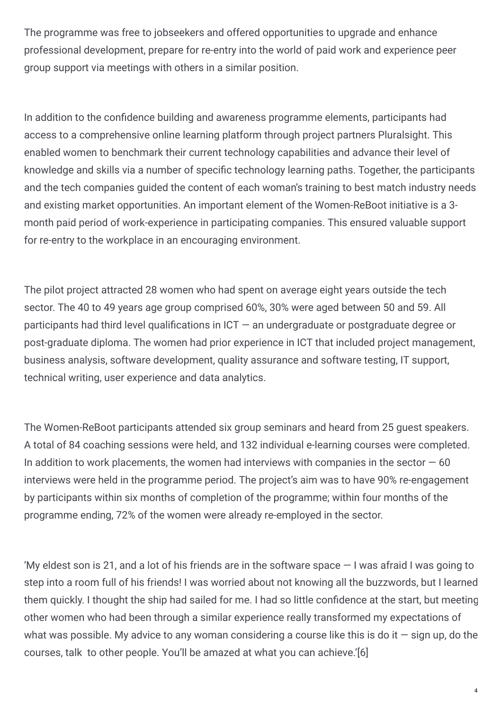The programme was free to jobseekers and offered opportunities to upgrade and enhance professional development, prepare for re-entry into the world of paid work and experience peer group support via meetings with others in a similar position.

In addition to the confidence building and awareness programme elements, participants had access to a comprehensive online learning platform through project partners Pluralsight. This enabled women to benchmark their current technology capabilities and advance their level of knowledge and skills via a number of specific technology learning paths. Together, the participants and the tech companies guided the content of each woman's training to best match industry needs and existing market opportunities. An important element of the Women-ReBoot initiative is a 3 month paid period of work-experience in participating companies. This ensured valuable support for re-entry to the workplace in an encouraging environment.

The pilot project attracted 28 women who had spent on average eight years outside the tech sector. The 40 to 49 years age group comprised 60%, 30% were aged between 50 and 59. All participants had third level qualifications in ICT  $-$  an undergraduate or postgraduate degree or post-graduate diploma. The women had prior experience in ICT that included project management, business analysis, software development, quality assurance and software testing, IT support, technical writing, user experience and data analytics.

The Women-ReBoot participants attended six group seminars and heard from 25 guest speakers. A total of 84 coaching sessions were held, and 132 individual e-learning courses were completed. In addition to work placements, the women had interviews with companies in the sector  $-60$ interviews were held in the programme period. The project's aim was to have 90% re-engagement by participants within six months of completion of the programme; within four months of the programme ending, 72% of the women were already re-employed in the sector.

'My eldest son is 21, and a lot of his friends are in the software space — I was afraid I was going to step into a room full of his friends! I was worried about not knowing all the buzzwords, but I learned them quickly. I thought the ship had sailed for me. I had so little confidence at the start, but meeting other women who had been through a similar experience really transformed my expectations of what was possible. My advice to any woman considering a course like this is do it  $-$  sign up, do the courses, talk to other people. You'll be amazed at what you can achieve.'[6]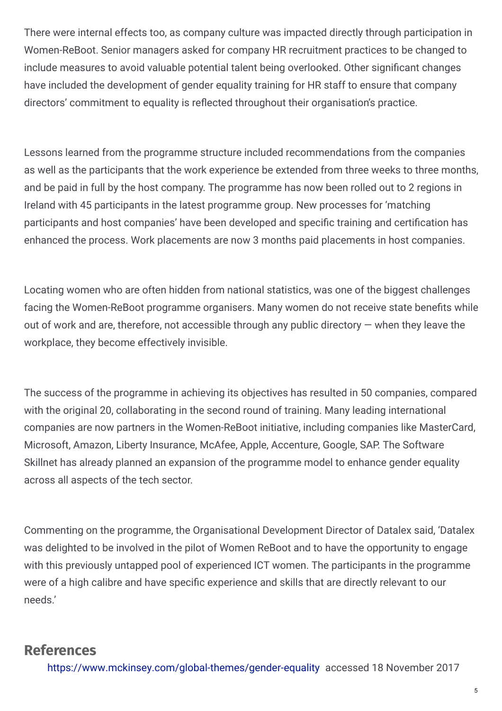There were internal effects too, as company culture was impacted directly through participation in Women-ReBoot. Senior managers asked for company HR recruitment practices to be changed to include measures to avoid valuable potential talent being overlooked. Other significant changes have included the development of gender equality training for HR staff to ensure that company directors' commitment to equality is reflected throughout their organisation's practice.

Lessons learned from the programme structure included recommendations from the companies as well as the participants that the work experience be extended from three weeks to three months, and be paid in full by the host company. The programme has now been rolled out to 2 regions in Ireland with 45 participants in the latest programme group. New processes for 'matching participants and host companies' have been developed and specific training and certification has enhanced the process. Work placements are now 3 months paid placements in host companies.

Locating women who are often hidden from national statistics, was one of the biggest challenges facing the Women-ReBoot programme organisers. Many women do not receive state benefits while out of work and are, therefore, not accessible through any public directory  $-$  when they leave the workplace, they become effectively invisible.

The success of the programme in achieving its objectives has resulted in 50 companies, compared with the original 20, collaborating in the second round of training. Many leading international companies are now partners in the Women-ReBoot initiative, including companies like MasterCard, Microsoft, Amazon, Liberty Insurance, McAfee, Apple, Accenture, Google, SAP. The Software Skillnet has already planned an expansion of the programme model to enhance gender equality across all aspects of the tech sector.

Commenting on the programme, the Organisational Development Director of Datalex said, 'Datalex was delighted to be involved in the pilot of Women ReBoot and to have the opportunity to engage with this previously untapped pool of experienced ICT women. The participants in the programme were of a high calibre and have specific experience and skills that are directly relevant to our needs.'

#### **References**

<https://www.mckinsey.com/global-themes/gender-equality> accessed 18 November 2017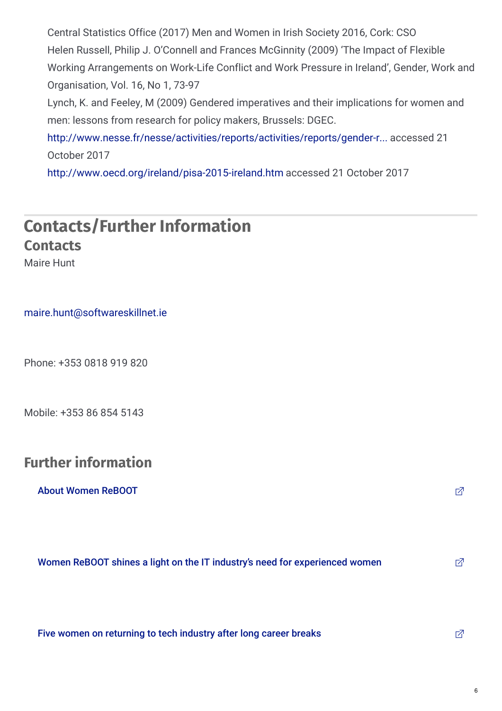Central Statistics Office (2017) Men and Women in Irish Society 2016, Cork: CSO Helen Russell, Philip J. O'Connell and Frances McGinnity (2009) 'The Impact of Flexible Working Arrangements on Work-Life Conflict and Work Pressure in Ireland', Gender, Work and Organisation, Vol. 16, No 1, 73-97 Lynch, K. and Feeley, M (2009) Gendered imperatives and their implications for women and men: lessons from research for policy makers, Brussels: DGEC.

[http://www.nesse.fr/nesse/activities/reports/activities/reports/gender-r...](http://www.nesse.fr/nesse/activities/reports/activities/reports/gender-report-pdf) accessed 21 October 2017

<http://www.oecd.org/ireland/pisa-2015-ireland.htm> accessed 21 October 2017

### **Contacts/Further Information Contacts**

Maire Hunt

#### [maire.hunt@softwareskillnet.ie](mailto:maire.hunt@softwareskillnet.ie)

Phone: +353 0818 919 820

Mobile: +353 86 854 5143

#### **Further information**

#### About Women [ReBOOT](http://www.softwareskillnet.ie/women-reboot/) **the contract of the contract of the contract of the contract of the contract of the contract of the contract of the contract of the contract of the contract of the contract of the contract of the contr**

| Women ReBOOT shines a light on the IT industry's need for experienced women |  |
|-----------------------------------------------------------------------------|--|
|-----------------------------------------------------------------------------|--|

Five women on [returning](https://eige.europa.eu/www.independent.ie/business/technology/i-didnt-believe-my-career-could-be-resurrected-after-17- years-five-women-on-returning-to-tech-industry-after-long-career-breaks-36135409.html?lang=fi) to tech industry after long career breaks  $\Box$